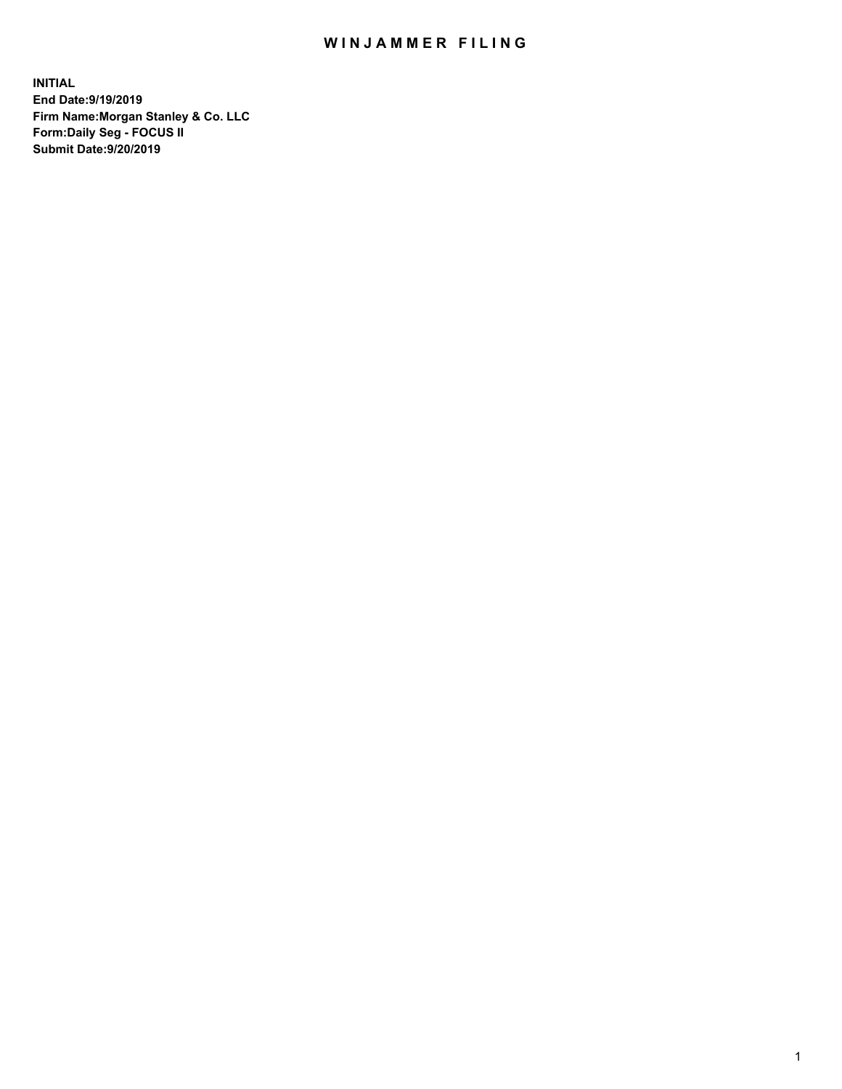## WIN JAMMER FILING

**INITIAL End Date:9/19/2019 Firm Name:Morgan Stanley & Co. LLC Form:Daily Seg - FOCUS II Submit Date:9/20/2019**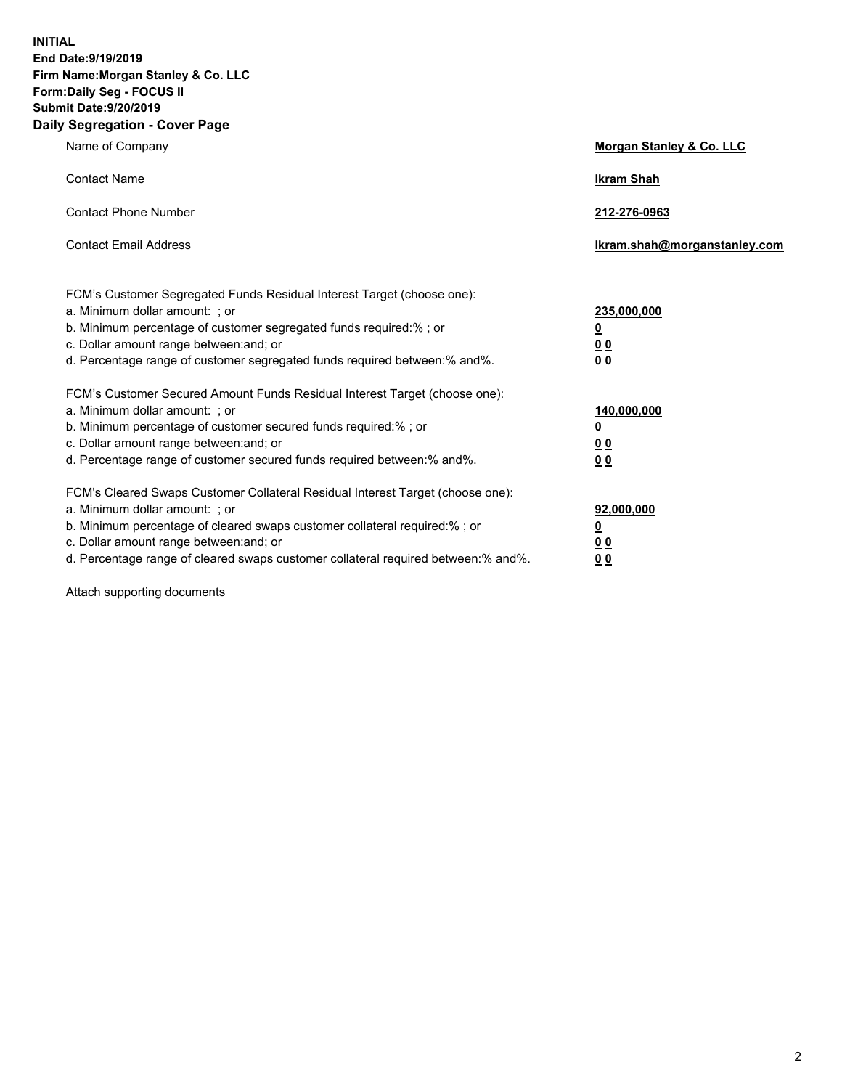**INITIAL End Date:9/19/2019 Firm Name:Morgan Stanley & Co. LLC Form:Daily Seg - FOCUS II Submit Date:9/20/2019 Daily Segregation - Cover Page**

| Name of Company                                                                                                                                                                                                                                                                                                                | Morgan Stanley & Co. LLC                               |
|--------------------------------------------------------------------------------------------------------------------------------------------------------------------------------------------------------------------------------------------------------------------------------------------------------------------------------|--------------------------------------------------------|
| <b>Contact Name</b>                                                                                                                                                                                                                                                                                                            | <b>Ikram Shah</b>                                      |
| <b>Contact Phone Number</b>                                                                                                                                                                                                                                                                                                    | 212-276-0963                                           |
| <b>Contact Email Address</b>                                                                                                                                                                                                                                                                                                   | Ikram.shah@morganstanley.com                           |
| FCM's Customer Segregated Funds Residual Interest Target (choose one):<br>a. Minimum dollar amount: : or<br>b. Minimum percentage of customer segregated funds required:% ; or<br>c. Dollar amount range between: and; or<br>d. Percentage range of customer segregated funds required between:% and%.                         | 235,000,000<br><u>0</u><br>0 <sub>0</sub><br><u>00</u> |
| FCM's Customer Secured Amount Funds Residual Interest Target (choose one):<br>a. Minimum dollar amount: ; or<br>b. Minimum percentage of customer secured funds required:% ; or<br>c. Dollar amount range between: and; or<br>d. Percentage range of customer secured funds required between:% and%.                           | 140,000,000<br><u>0</u><br><u>00</u><br>0 <sub>0</sub> |
| FCM's Cleared Swaps Customer Collateral Residual Interest Target (choose one):<br>a. Minimum dollar amount: ; or<br>b. Minimum percentage of cleared swaps customer collateral required:% ; or<br>c. Dollar amount range between: and; or<br>d. Percentage range of cleared swaps customer collateral required between:% and%. | 92,000,000<br><u>0</u><br><u>00</u><br>0 <sub>0</sub>  |

Attach supporting documents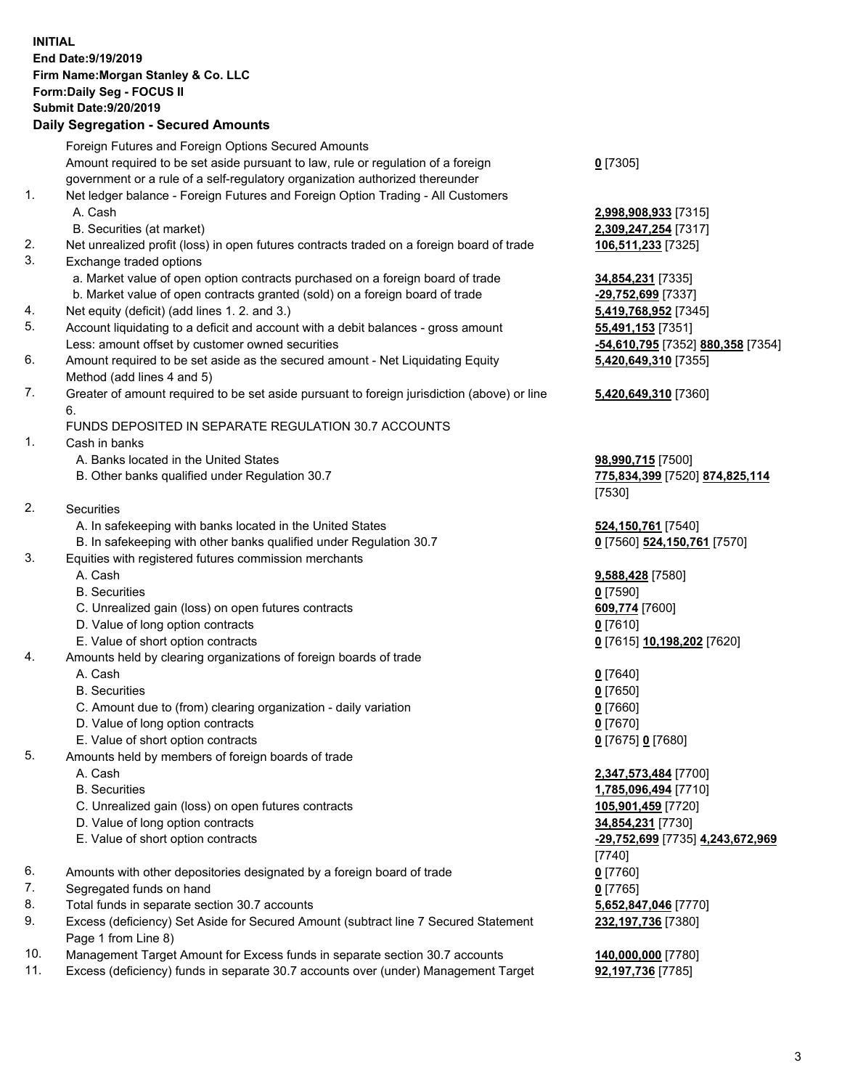## **INITIAL End Date:9/19/2019 Firm Name:Morgan Stanley & Co. LLC Form:Daily Seg - FOCUS II Submit Date:9/20/2019 Daily Segregation - Secured Amounts**

Foreign Futures and Foreign Options Secured Amounts Amount required to be set aside pursuant to law, rule or regulation of a foreign government or a rule of a self-regulatory organization authorized thereunder **0** [7305] 1. Net ledger balance - Foreign Futures and Foreign Option Trading - All Customers A. Cash **2,998,908,933** [7315] B. Securities (at market) **2,309,247,254** [7317] 2. Net unrealized profit (loss) in open futures contracts traded on a foreign board of trade **106,511,233** [7325] 3. Exchange traded options a. Market value of open option contracts purchased on a foreign board of trade **34,854,231** [7335] b. Market value of open contracts granted (sold) on a foreign board of trade **-29,752,699** [7337] 4. Net equity (deficit) (add lines 1. 2. and 3.) **5,419,768,952** [7345] 5. Account liquidating to a deficit and account with a debit balances - gross amount **55,491,153** [7351] Less: amount offset by customer owned securities **-54,610,795** [7352] **880,358** [7354] 6. Amount required to be set aside as the secured amount - Net Liquidating Equity Method (add lines 4 and 5) 7. Greater of amount required to be set aside pursuant to foreign jurisdiction (above) or line 6. FUNDS DEPOSITED IN SEPARATE REGULATION 30.7 ACCOUNTS 1. Cash in banks A. Banks located in the United States **98,990,715** [7500] B. Other banks qualified under Regulation 30.7 **775,834,399** [7520] **874,825,114** [7530] 2. Securities A. In safekeeping with banks located in the United States **524,150,761** [7540] B. In safekeeping with other banks qualified under Regulation 30.7 **0** [7560] **524,150,761** [7570] 3. Equities with registered futures commission merchants A. Cash **9,588,428** [7580] B. Securities **0** [7590] C. Unrealized gain (loss) on open futures contracts **609,774** [7600] D. Value of long option contracts **0** [7610] E. Value of short option contracts **0** [7615] **10,198,202** [7620] 4. Amounts held by clearing organizations of foreign boards of trade A. Cash **0** [7640] B. Securities **0** [7650] C. Amount due to (from) clearing organization - daily variation **0** [7660] D. Value of long option contracts **0** [7670] E. Value of short option contracts **0** [7675] **0** [7680] 5. Amounts held by members of foreign boards of trade A. Cash **2,347,573,484** [7700] B. Securities **1,785,096,494** [7710] C. Unrealized gain (loss) on open futures contracts **105,901,459** [7720] D. Value of long option contracts **34,854,231** [7730] E. Value of short option contracts **-29,752,699** [7735] **4,243,672,969** [7740] 6. Amounts with other depositories designated by a foreign board of trade **0** [7760] 7. Segregated funds on hand **0** [7765] 8. Total funds in separate section 30.7 accounts **5,652,847,046** [7770]

9. Excess (deficiency) Set Aside for Secured Amount (subtract line 7 Secured Statement Page 1 from Line 8)

- 10. Management Target Amount for Excess funds in separate section 30.7 accounts **140,000,000** [7780]
- 11. Excess (deficiency) funds in separate 30.7 accounts over (under) Management Target **92,197,736** [7785]

**5,420,649,310** [7355] **5,420,649,310** [7360]

**232,197,736** [7380]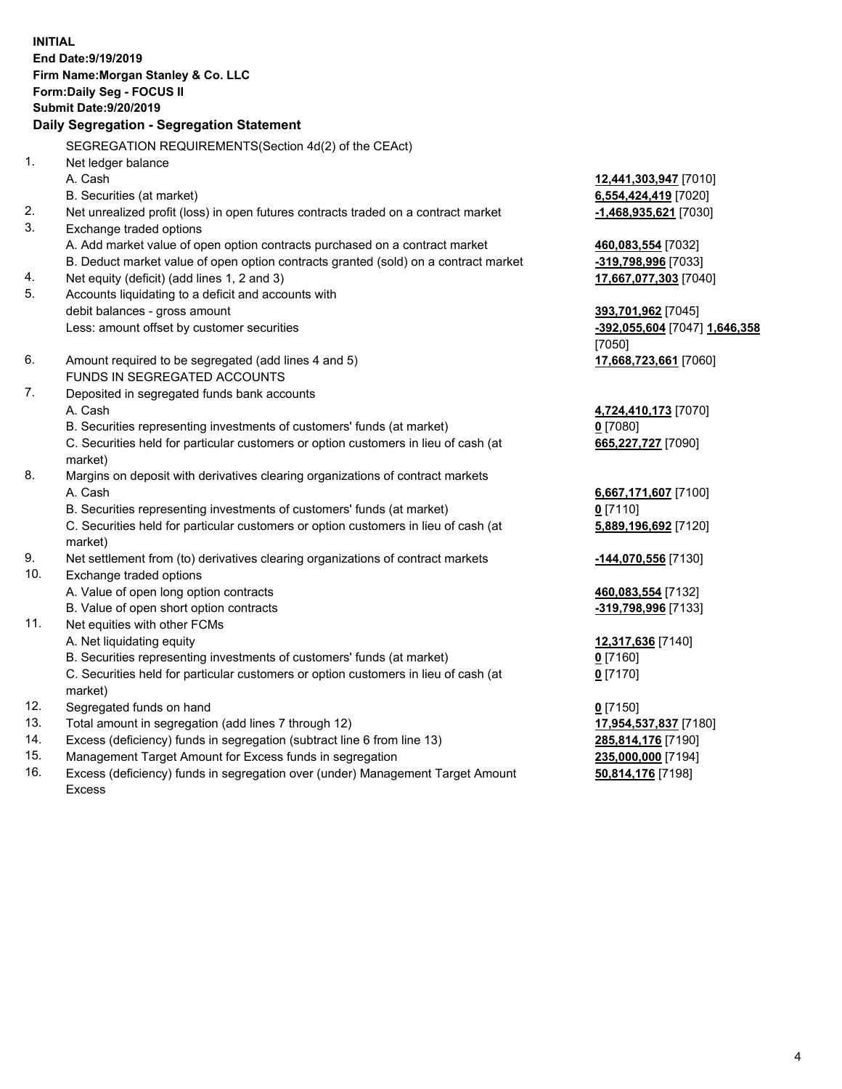**INITIAL End Date:9/19/2019 Firm Name:Morgan Stanley & Co. LLC Form:Daily Seg - FOCUS II Submit Date:9/20/2019 Daily Segregation - Segregation Statement** SEGREGATION REQUIREMENTS(Section 4d(2) of the CEAct) 1. Net ledger balance A. Cash **12,441,303,947** [7010] B. Securities (at market) **6,554,424,419** [7020] 2. Net unrealized profit (loss) in open futures contracts traded on a contract market **-1,468,935,621** [7030] 3. Exchange traded options A. Add market value of open option contracts purchased on a contract market **460,083,554** [7032] B. Deduct market value of open option contracts granted (sold) on a contract market **-319,798,996** [7033] 4. Net equity (deficit) (add lines 1, 2 and 3) **17,667,077,303** [7040] 5. Accounts liquidating to a deficit and accounts with debit balances - gross amount **393,701,962** [7045] Less: amount offset by customer securities **-392,055,604** [7047] **1,646,358** [7050] 6. Amount required to be segregated (add lines 4 and 5) **17,668,723,661** [7060] FUNDS IN SEGREGATED ACCOUNTS 7. Deposited in segregated funds bank accounts A. Cash **4,724,410,173** [7070] B. Securities representing investments of customers' funds (at market) **0** [7080] C. Securities held for particular customers or option customers in lieu of cash (at market) **665,227,727** [7090] 8. Margins on deposit with derivatives clearing organizations of contract markets A. Cash **6,667,171,607** [7100] B. Securities representing investments of customers' funds (at market) **0** [7110] C. Securities held for particular customers or option customers in lieu of cash (at market) **5,889,196,692** [7120] 9. Net settlement from (to) derivatives clearing organizations of contract markets **-144,070,556** [7130] 10. Exchange traded options A. Value of open long option contracts **460,083,554** [7132] B. Value of open short option contracts **-319,798,996** [7133] 11. Net equities with other FCMs A. Net liquidating equity **12,317,636** [7140] B. Securities representing investments of customers' funds (at market) **0** [7160] C. Securities held for particular customers or option customers in lieu of cash (at market) **0** [7170] 12. Segregated funds on hand **0** [7150] 13. Total amount in segregation (add lines 7 through 12) **17,954,537,837** [7180] 14. Excess (deficiency) funds in segregation (subtract line 6 from line 13) **285,814,176** [7190] 15. Management Target Amount for Excess funds in segregation **235,000,000** [7194]

16. Excess (deficiency) funds in segregation over (under) Management Target Amount Excess

**50,814,176** [7198]